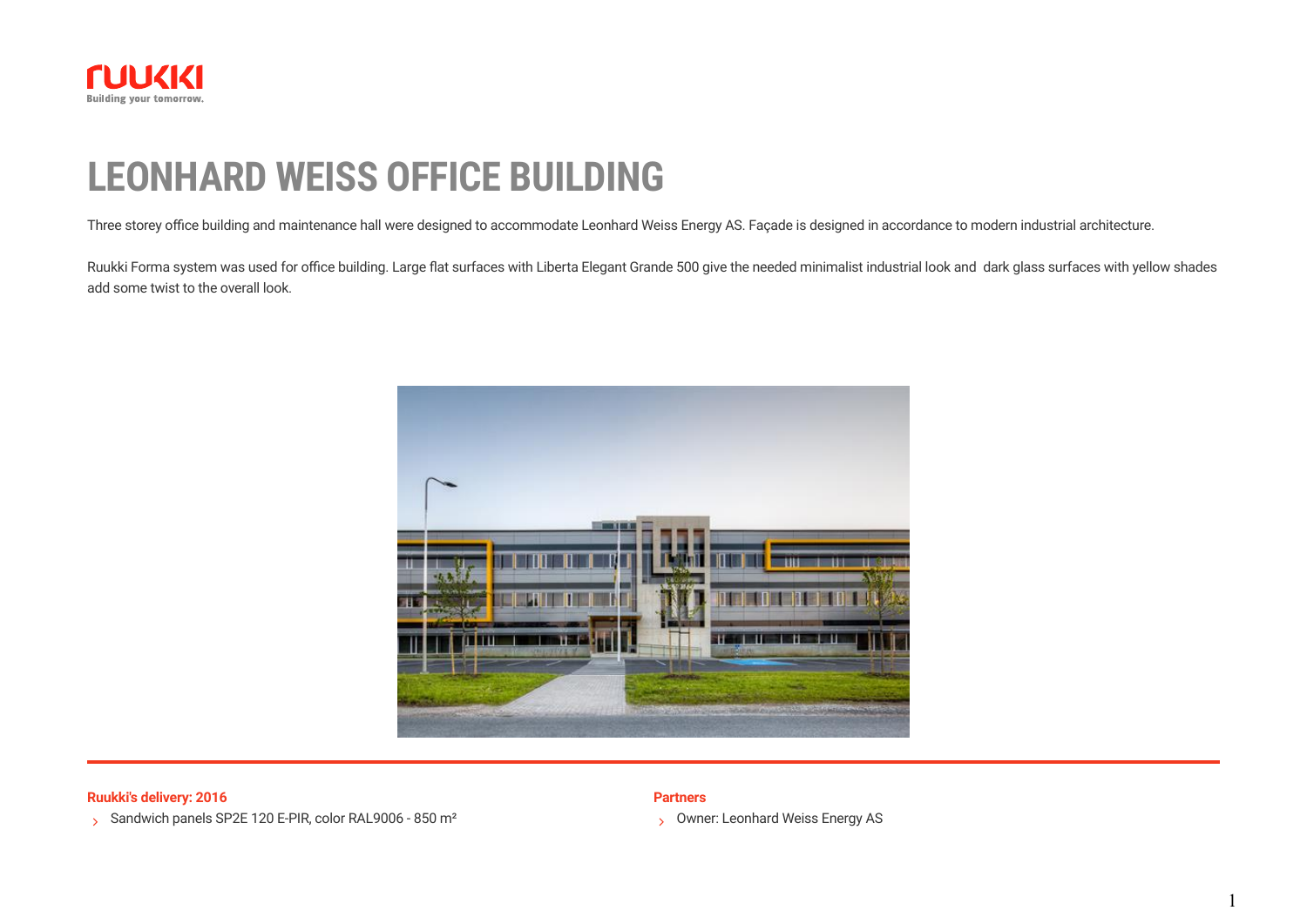

# **LEONHARD WEISS OFFICE BUILDING**

Three storey office building and maintenance hall were designed to accommodate Leonhard Weiss Energy AS. Façade is designed in accordance to modern industrial architecture.

Ruukki Forma system was used for office building. Large flat surfaces with Liberta Elegant Grande 500 give the needed minimalist industrial look and dark glass surfaces with yellow shades add some twist to the overall look.



#### **Ruukki's delivery: 2016 Partners**

Sandwich panels SP2E 120 E-PIR, color RAL9006 - 850 m<sup>2</sup>

S Owner: Leonhard Weiss Energy AS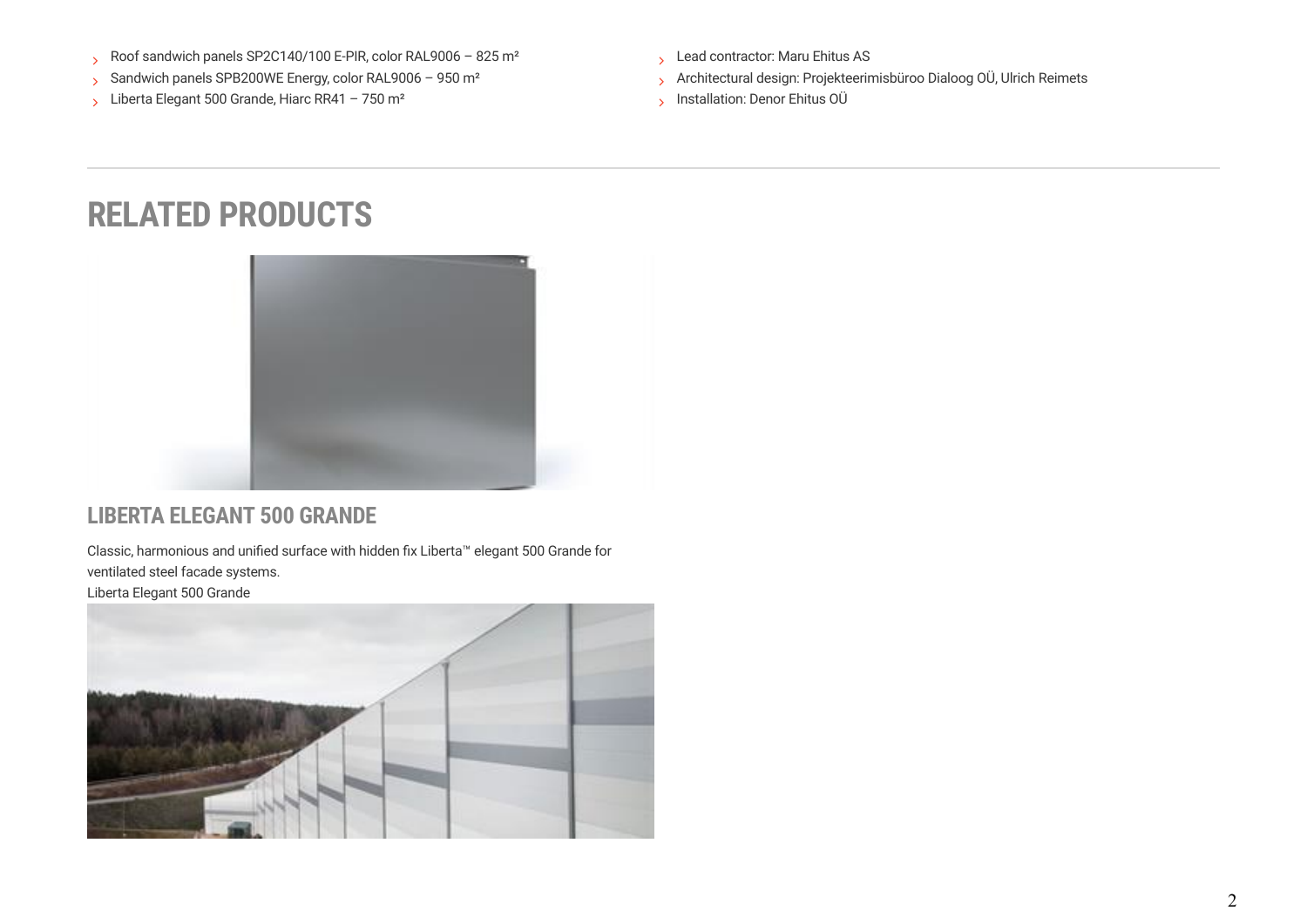- S Roof sandwich panels SP2C140/100 E-PIR, color RAL9006 825 m<sup>2</sup>
- Sandwich panels SPB200WE Energy, color RAL9006 950 m<sup>2</sup>
- Liberta Elegant 500 Grande, Hiarc RR41 750 m<sup>2</sup>
- Lead contractor: Maru Ehitus AS
- Architectural design: Projekteerimisbüroo Dialoog OÜ, Ulrich Reimets
- <sub>></sub> Installation: Denor Ehitus OU

## **RELATED PRODUCTS**



### **LIBERTA ELEGANT 500 GRANDE**

Classic, harmonious and unified surface with hidden fix Liberta™ elegant 500 Grande for ventilated steel facade systems. [Liberta Elegant 500 Grande](https://www.ruukki.com/b2b/products/facade-claddings/rainscreen-panels/facade-claddings-details---rainscreen-panel-grande/liberta-elegant-500grande)